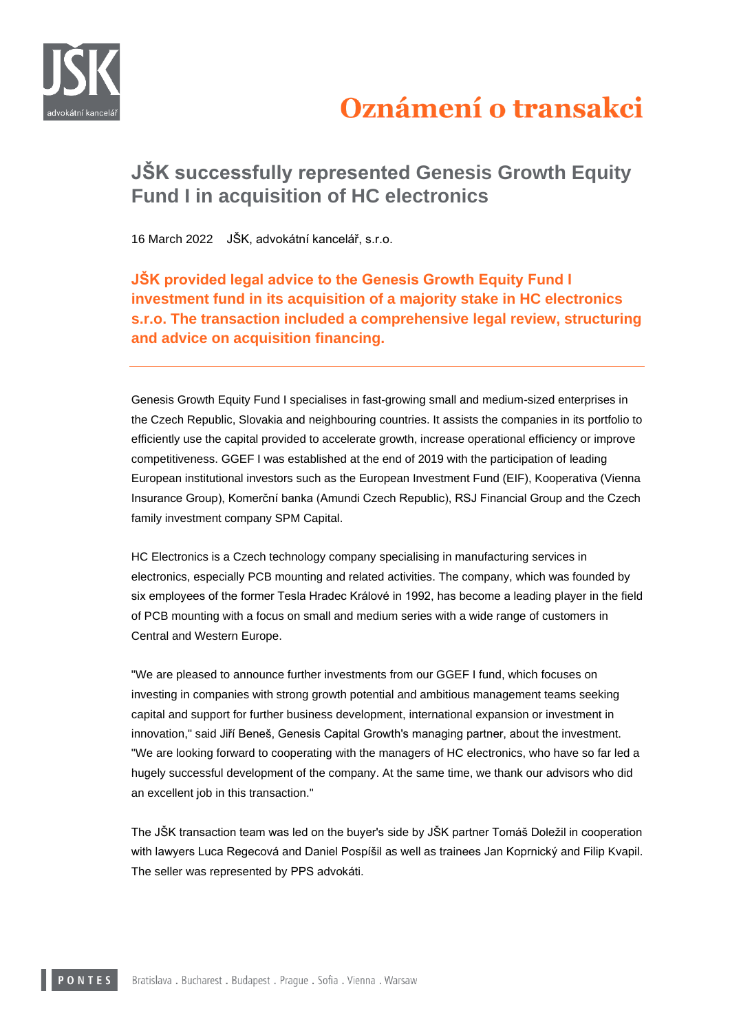

## Oznámení o transakci

## **JŠK successfully represented Genesis Growth Equity Fund I in acquisition of HC electronics**

16 March 2022 JŠK, advokátní kancelář, s.r.o.

**JŠK provided legal advice to the Genesis Growth Equity Fund I investment fund in its acquisition of a majority stake in HC electronics s.r.o. The transaction included a comprehensive legal review, structuring and advice on acquisition financing.**

Genesis Growth Equity Fund I specialises in fast-growing small and medium-sized enterprises in the Czech Republic, Slovakia and neighbouring countries. It assists the companies in its portfolio to efficiently use the capital provided to accelerate growth, increase operational efficiency or improve competitiveness. GGEF I was established at the end of 2019 with the participation of leading European institutional investors such as the European Investment Fund (EIF), Kooperativa (Vienna Insurance Group), Komerční banka (Amundi Czech Republic), RSJ Financial Group and the Czech family investment company SPM Capital.

HC Electronics is a Czech technology company specialising in manufacturing services in electronics, especially PCB mounting and related activities. The company, which was founded by six employees of the former Tesla Hradec Králové in 1992, has become a leading player in the field of PCB mounting with a focus on small and medium series with a wide range of customers in Central and Western Europe.

"We are pleased to announce further investments from our GGEF I fund, which focuses on investing in companies with strong growth potential and ambitious management teams seeking capital and support for further business development, international expansion or investment in innovation," said Jiří Beneš, Genesis Capital Growth's managing partner, about the investment. "We are looking forward to cooperating with the managers of HC electronics, who have so far led a hugely successful development of the company. At the same time, we thank our advisors who did an excellent job in this transaction."

The JŠK transaction team was led on the buyer's side by JŠK partner Tomáš Doležil in cooperation with lawyers Luca Regecová and Daniel Pospíšil as well as trainees Jan Koprnický and Filip Kvapil. The seller was represented by PPS advokáti.